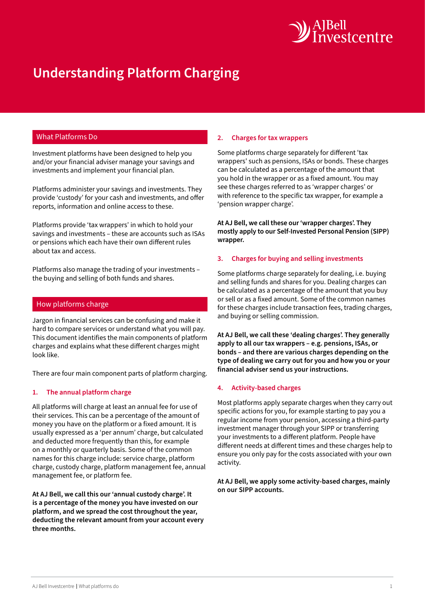

# **Understanding Platform Charging**

# What Platforms Do

Investment platforms have been designed to help you and/or your financial adviser manage your savings and investments and implement your financial plan.

Platforms administer your savings and investments. They provide 'custody' for your cash and investments, and offer reports, information and online access to these.

Platforms provide 'tax wrappers' in which to hold your savings and investments – these are accounts such as ISAs or pensions which each have their own different rules about tax and access.

Platforms also manage the trading of your investments – the buying and selling of both funds and shares.

## How platforms charge

Jargon in financial services can be confusing and make it hard to compare services or understand what you will pay. This document identifies the main components of platform charges and explains what these different charges might look like.

There are four main component parts of platform charging.

## **1. The annual platform charge**

All platforms will charge at least an annual fee for use of their services. This can be a percentage of the amount of money you have on the platform or a fixed amount. It is usually expressed as a 'per annum' charge, but calculated and deducted more frequently than this, for example on a monthly or quarterly basis. Some of the common names for this charge include: service charge, platform charge, custody charge, platform management fee, annual management fee, or platform fee.

**At AJ Bell, we call this our 'annual custody charge'. It is a percentage of the money you have invested on our platform, and we spread the cost throughout the year, deducting the relevant amount from your account every three months.**

#### **2. Charges for tax wrappers**

Some platforms charge separately for different 'tax wrappers' such as pensions, ISAs or bonds. These charges can be calculated as a percentage of the amount that you hold in the wrapper or as a fixed amount. You may see these charges referred to as 'wrapper charges' or with reference to the specific tax wrapper, for example a 'pension wrapper charge'.

**At AJ Bell, we call these our 'wrapper charges'. They mostly apply to our Self-Invested Personal Pension (SIPP) wrapper.**

## **3. Charges for buying and selling investments**

Some platforms charge separately for dealing, i.e. buying and selling funds and shares for you. Dealing charges can be calculated as a percentage of the amount that you buy or sell or as a fixed amount. Some of the common names for these charges include transaction fees, trading charges, and buying or selling commission.

**At AJ Bell, we call these 'dealing charges'. They generally apply to all our tax wrappers – e.g. pensions, ISAs, or bonds – and there are various charges depending on the type of dealing we carry out for you and how you or your financial adviser send us your instructions.**

## **4. Activity-based charges**

Most platforms apply separate charges when they carry out specific actions for you, for example starting to pay you a regular income from your pension, accessing a third-party investment manager through your SIPP or transferring your investments to a different platform. People have different needs at different times and these charges help to ensure you only pay for the costs associated with your own activity.

**At AJ Bell, we apply some activity-based charges, mainly on our SIPP accounts.**